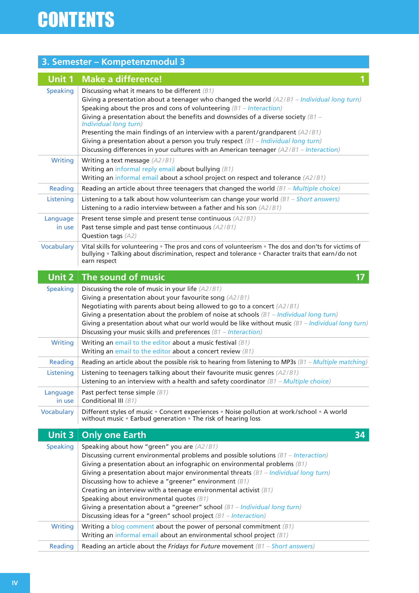|                    | 3. Semester - Kompetenzmodul 3                                                                                                                                                                                                                                                                                                                                                                                                                                                                                                                                                                                                                 |
|--------------------|------------------------------------------------------------------------------------------------------------------------------------------------------------------------------------------------------------------------------------------------------------------------------------------------------------------------------------------------------------------------------------------------------------------------------------------------------------------------------------------------------------------------------------------------------------------------------------------------------------------------------------------------|
| <b>Unit 1</b>      | <b>Make a difference!</b>                                                                                                                                                                                                                                                                                                                                                                                                                                                                                                                                                                                                                      |
| <b>Speaking</b>    | Discussing what it means to be different $(B1)$<br>Giving a presentation about a teenager who changed the world $(A2/B1 - Individual long turn)$<br>Speaking about the pros and cons of volunteering $(B1 - Interation)$<br>Giving a presentation about the benefits and downsides of a diverse society $\beta$ 1 -<br>Individual long turn)<br>Presenting the main findings of an interview with a parent/grandparent $(A2/B1)$<br>Giving a presentation about a person you truly respect $(B1 - Individual long turn)$<br>Discussing differences in your cultures with an American teenager $(A2/B1 - Interaction)$                          |
| Writing            | Writing a text message (A2/B1)<br>Writing an informal reply email about bullying $(B1)$<br>Writing an informal email about a school project on respect and tolerance (A2/B1)                                                                                                                                                                                                                                                                                                                                                                                                                                                                   |
| Reading            | Reading an article about three teenagers that changed the world $(B1 - \text{Multiple choice})$                                                                                                                                                                                                                                                                                                                                                                                                                                                                                                                                                |
| Listening          | Listening to a talk about how volunteerism can change your world $(B1 - Short\ answers)$<br>Listening to a radio interview between a father and his son $(A2/B1)$                                                                                                                                                                                                                                                                                                                                                                                                                                                                              |
| Language<br>in use | Present tense simple and present tense continuous (A2/B1)<br>Past tense simple and past tense continuous (A2/B1)<br>Question tags (A2)                                                                                                                                                                                                                                                                                                                                                                                                                                                                                                         |
| Vocabulary         | Vital skills for volunteering . The pros and cons of volunteerism . The dos and don'ts for victims of<br>bullying . Talking about discrimination, respect and tolerance . Character traits that earn/do not<br>earn respect                                                                                                                                                                                                                                                                                                                                                                                                                    |
| <b>Unit 2</b>      | The sound of music<br>17 <sub>2</sub>                                                                                                                                                                                                                                                                                                                                                                                                                                                                                                                                                                                                          |
| <b>Speaking</b>    | Discussing the role of music in your life (A2/B1)<br>Giving a presentation about your favourite song (A2/B1)<br>Negotiating with parents about being allowed to go to a concert (A2/B1)<br>Giving a presentation about the problem of noise at schools $(B1 - Individual long turn)$<br>Giving a presentation about what our world would be like without music $(B1 - Individual long turn)$<br>Discussing your music skills and preferences $(B1 - Interation)$                                                                                                                                                                               |
| <b>Writing</b>     | Writing an email to the editor about a music festival $(B1)$<br>Writing an email to the editor about a concert review $(B1)$                                                                                                                                                                                                                                                                                                                                                                                                                                                                                                                   |
| Reading            | Reading an article about the possible risk to hearing from listening to MP3s $(B1 - Multiple matching)$                                                                                                                                                                                                                                                                                                                                                                                                                                                                                                                                        |
| Listening          | Listening to teenagers talking about their favourite music genres $(A2/B1)$<br>Listening to an interview with a health and safety coordinator $(B1 - Multiple choice)$                                                                                                                                                                                                                                                                                                                                                                                                                                                                         |
| Language<br>in use | Past perfect tense simple (B1)<br>Conditional III (B1)                                                                                                                                                                                                                                                                                                                                                                                                                                                                                                                                                                                         |
| Vocabulary         | Different styles of music . Concert experiences . Noise pollution at work/school . A world<br>without music • Earbud generation • The risk of hearing loss                                                                                                                                                                                                                                                                                                                                                                                                                                                                                     |
| Unit 3             | <b>Only one Earth</b><br>34                                                                                                                                                                                                                                                                                                                                                                                                                                                                                                                                                                                                                    |
| <b>Speaking</b>    | Speaking about how "green" you are (A2/B1)<br>Discussing current environmental problems and possible solutions $(B1 - Interaction)$<br>Giving a presentation about an infographic on environmental problems $(B1)$<br>Giving a presentation about major environmental threats $(B1 - Individual long turn)$<br>Discussing how to achieve a "greener" environment $(B1)$<br>Creating an interview with a teenage environmental activist $(B1)$<br>Speaking about environmental quotes (B1)<br>Giving a presentation about a "greener" school $(B1 - Individual long turn)$<br>Discussing ideas for a "green" school project $(B1 - Interation)$ |
| <b>Writing</b>     | Writing a blog comment about the power of personal commitment $(B1)$<br>Writing an informal email about an environmental school project (B1)                                                                                                                                                                                                                                                                                                                                                                                                                                                                                                   |
| Reading            | Reading an article about the Fridays for Future movement $(B1 - Short\ answers)$                                                                                                                                                                                                                                                                                                                                                                                                                                                                                                                                                               |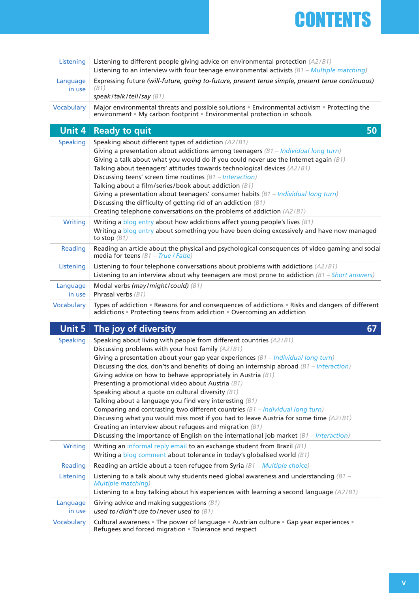

| Listening          | Listening to different people giving advice on environmental protection (A2/B1)<br>Listening to an interview with four teenage environmental activists $(B1 - Multiple matching)$                                                                                                                                                                                                                                                                                                                                                                                                                                                                                                                                                                                                                                                                                                                 |
|--------------------|---------------------------------------------------------------------------------------------------------------------------------------------------------------------------------------------------------------------------------------------------------------------------------------------------------------------------------------------------------------------------------------------------------------------------------------------------------------------------------------------------------------------------------------------------------------------------------------------------------------------------------------------------------------------------------------------------------------------------------------------------------------------------------------------------------------------------------------------------------------------------------------------------|
| Language<br>in use | Expressing future (will-future, going to-future, present tense simple, present tense continuous)<br>(B1)<br>speak/talk/tell/say $(B1)$                                                                                                                                                                                                                                                                                                                                                                                                                                                                                                                                                                                                                                                                                                                                                            |
| Vocabulary         | Major environmental threats and possible solutions . Environmental activism . Protecting the<br>environment • My carbon footprint • Environmental protection in schools                                                                                                                                                                                                                                                                                                                                                                                                                                                                                                                                                                                                                                                                                                                           |
| Unit 4             | 50<br><b>Ready to quit</b>                                                                                                                                                                                                                                                                                                                                                                                                                                                                                                                                                                                                                                                                                                                                                                                                                                                                        |
| <b>Speaking</b>    | Speaking about different types of addiction (A2/B1)<br>Giving a presentation about addictions among teenagers $(B1 - Individual long turn)$<br>Giving a talk about what you would do if you could never use the Internet again $(B1)$<br>Talking about teenagers' attitudes towards technological devices (A2/B1)<br>Discussing teens' screen time routines $(B1 - Interation)$<br>Talking about a film/series/book about addiction $(B1)$<br>Giving a presentation about teenagers' consumer habits $(B1 - Individual long turn)$<br>Discussing the difficulty of getting rid of an addiction $(B1)$<br>Creating telephone conversations on the problems of addiction (A2/B1)                                                                                                                                                                                                                    |
| <b>Writing</b>     | Writing a blog entry about how addictions affect young people's lives $(B1)$<br>Writing a blog entry about something you have been doing excessively and have now managed<br>to stop $(B1)$                                                                                                                                                                                                                                                                                                                                                                                                                                                                                                                                                                                                                                                                                                       |
| Reading            | Reading an article about the physical and psychological consequences of video gaming and social<br>media for teens $(B1 - True / False)$                                                                                                                                                                                                                                                                                                                                                                                                                                                                                                                                                                                                                                                                                                                                                          |
| Listening          | Listening to four telephone conversations about problems with addictions (A2/B1)<br>Listening to an interview about why teenagers are most prone to addiction $(\beta 1 - Short\ answers)$                                                                                                                                                                                                                                                                                                                                                                                                                                                                                                                                                                                                                                                                                                        |
| Language<br>in use | Modal verbs (may/might/could) (B1)<br>Phrasal verbs $(B1)$                                                                                                                                                                                                                                                                                                                                                                                                                                                                                                                                                                                                                                                                                                                                                                                                                                        |
|                    |                                                                                                                                                                                                                                                                                                                                                                                                                                                                                                                                                                                                                                                                                                                                                                                                                                                                                                   |
| Vocabulary         | Types of addiction . Reasons for and consequences of addictions . Risks and dangers of different<br>addictions • Protecting teens from addiction • Overcoming an addiction                                                                                                                                                                                                                                                                                                                                                                                                                                                                                                                                                                                                                                                                                                                        |
| <b>Unit 5</b>      | The joy of diversity<br>67                                                                                                                                                                                                                                                                                                                                                                                                                                                                                                                                                                                                                                                                                                                                                                                                                                                                        |
| <b>Speaking</b>    | Speaking about living with people from different countries (A2/B1)<br>Discussing problems with your host family (A2/B1)<br>Giving a presentation about your gap year experiences $(B1 - Individual long turn)$<br>Discussing the dos, don'ts and benefits of doing an internship abroad $(B1 - Interation)$<br>Giving advice on how to behave appropriately in Austria $(B1)$<br>Presenting a promotional video about Austria (B1)<br>Speaking about a quote on cultural diversity $(B1)$<br>Talking about a language you find very interesting $(B1)$<br>Comparing and contrasting two different countries $(B1 - Individual long turn)$<br>Discussing what you would miss most if you had to leave Austria for some time (A2/B1)<br>Creating an interview about refugees and migration $(B1)$<br>Discussing the importance of English on the international job market $(\beta 1 - Interaction)$ |
| <b>Writing</b>     | Writing an informal reply email to an exchange student from Brazil (B1)                                                                                                                                                                                                                                                                                                                                                                                                                                                                                                                                                                                                                                                                                                                                                                                                                           |
| Reading            | Writing a blog comment about tolerance in today's globalised world (B1)<br>Reading an article about a teen refugee from Syria $(B1 - \text{Multiple choice})$                                                                                                                                                                                                                                                                                                                                                                                                                                                                                                                                                                                                                                                                                                                                     |
| Listening          | Listening to a talk about why students need global awareness and understanding $\beta/1 -$<br><b>Multiple matching)</b><br>Listening to a boy talking about his experiences with learning a second language (A2/B1)                                                                                                                                                                                                                                                                                                                                                                                                                                                                                                                                                                                                                                                                               |
| Language<br>in use | Giving advice and making suggestions $(B1)$<br>used to/didn't use to/never used to $(B1)$                                                                                                                                                                                                                                                                                                                                                                                                                                                                                                                                                                                                                                                                                                                                                                                                         |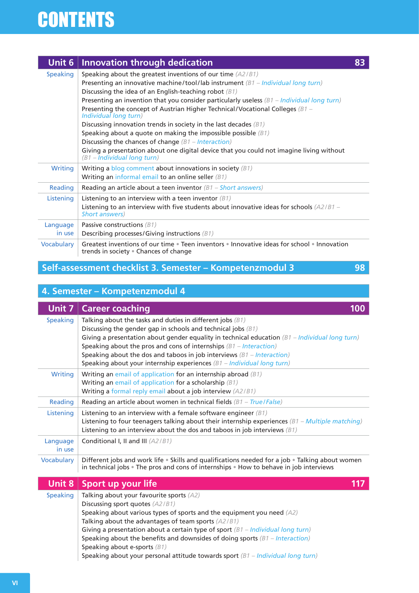## **Unit 6 Innovation through dedication 83**

| <b>Speaking</b>    | Speaking about the greatest inventions of our time (A2/B1)<br>Presenting an innovative machine/tool/lab instrument $(B1 - Individual long turn)$<br>Discussing the idea of an English-teaching robot $(B1)$<br>Presenting an invention that you consider particularly useless $(B1 - Individual long turn)$<br>Presenting the concept of Austrian Higher Technical/Vocational Colleges $\beta$ 1 -<br>Individual long turn)<br>Discussing innovation trends in society in the last decades $(B1)$<br>Speaking about a quote on making the impossible possible $(B1)$<br>Discussing the chances of change $(B1 - Interation)$<br>Giving a presentation about one digital device that you could not imagine living without<br>(B1 - Individual long turn) |
|--------------------|---------------------------------------------------------------------------------------------------------------------------------------------------------------------------------------------------------------------------------------------------------------------------------------------------------------------------------------------------------------------------------------------------------------------------------------------------------------------------------------------------------------------------------------------------------------------------------------------------------------------------------------------------------------------------------------------------------------------------------------------------------|
| Writing            | Writing a blog comment about innovations in society $(B1)$<br>Writing an informal email to an online seller $(B1)$                                                                                                                                                                                                                                                                                                                                                                                                                                                                                                                                                                                                                                      |
| Reading            | Reading an article about a teen inventor $(B1 - Short\ answers)$                                                                                                                                                                                                                                                                                                                                                                                                                                                                                                                                                                                                                                                                                        |
| Listening          | Listening to an interview with a teen inventor $(B1)$<br>Listening to an interview with five students about innovative ideas for schools $(A2/B1 -$<br>Short answers)                                                                                                                                                                                                                                                                                                                                                                                                                                                                                                                                                                                   |
| Language<br>in use | Passive constructions $(B1)$<br>Describing processes/Giving instructions $(B1)$                                                                                                                                                                                                                                                                                                                                                                                                                                                                                                                                                                                                                                                                         |
| Vocabulary         | Greatest inventions of our time • Teen inventors • Innovative ideas for school • Innovation<br>trends in society . Chances of change                                                                                                                                                                                                                                                                                                                                                                                                                                                                                                                                                                                                                    |

## **Self-assessment checklist 3. Semester – Kompetenzmodul 3 98**

|  | 4. Semester - Kompetenzmodul 4 |
|--|--------------------------------|
|  |                                |

| Unit 7             | <b>Career coaching</b><br>100                                                                                                                                                                                                                                                                                                                                                                                                                                        |
|--------------------|----------------------------------------------------------------------------------------------------------------------------------------------------------------------------------------------------------------------------------------------------------------------------------------------------------------------------------------------------------------------------------------------------------------------------------------------------------------------|
| <b>Speaking</b>    | Talking about the tasks and duties in different jobs $(B1)$<br>Discussing the gender gap in schools and technical jobs $(B1)$<br>Giving a presentation about gender equality in technical education $(\beta 1 - Individual long turn)$<br>Speaking about the pros and cons of internships $(B1 - Interation)$<br>Speaking about the dos and taboos in job interviews $(B1 - Interation)$<br>Speaking about your internship experiences $(B1 - Individual long turn)$ |
| Writing            | Writing an email of application for an internship abroad $(B1)$<br>Writing an email of application for a scholarship $(B1)$<br>Writing a formal reply email about a job interview (A2/B1)                                                                                                                                                                                                                                                                            |
| Reading            | Reading an article about women in technical fields $(B1 - True)$ False)                                                                                                                                                                                                                                                                                                                                                                                              |
| Listening          | Listening to an interview with a female software engineer $(B1)$<br>Listening to four teenagers talking about their internship experiences $(B1 - Multiple matching)$<br>Listening to an interview about the dos and taboos in job interviews $(B1)$                                                                                                                                                                                                                 |
| Language<br>in use | Conditional I, II and III (A2/B1)                                                                                                                                                                                                                                                                                                                                                                                                                                    |
| Vocabulary         | Different jobs and work life • Skills and qualifications needed for a job • Talking about women<br>in technical jobs . The pros and cons of internships . How to behave in job interviews                                                                                                                                                                                                                                                                            |
| Unit 8             | Sport up your life<br>117                                                                                                                                                                                                                                                                                                                                                                                                                                            |
| <b>Speaking</b>    | Talking about your favourite sports $(A2)$<br>Discussing sport quotes (A2/B1)<br>Speaking about various types of sports and the equipment you need $(A2)$<br>Talking about the advantages of team sports $(A2/B1)$<br>Giving a presentation about a certain type of sport $(B1 - Individual long turn)$<br>Speaking about the benefits and downsides of doing sports $(B1 - Interation)$                                                                             |

Speaking about e-sports *(B1)*

Speaking about your personal attitude towards sport *(B1 – Individual long turn)*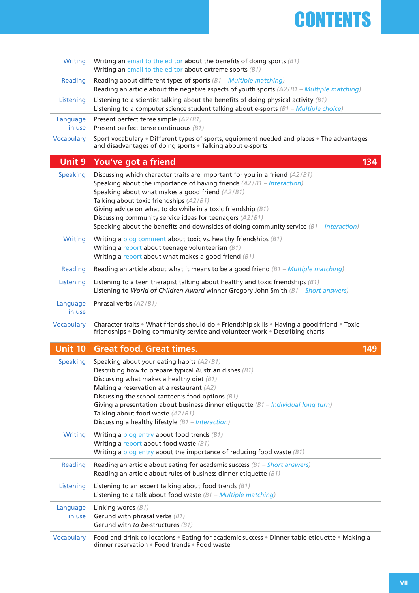

| <b>Writing</b>     | Writing an email to the editor about the benefits of doing sports $(B1)$<br>Writing an email to the editor about extreme sports $(B1)$                                                                                                                                                                                                                                                                                                                                              |  |
|--------------------|-------------------------------------------------------------------------------------------------------------------------------------------------------------------------------------------------------------------------------------------------------------------------------------------------------------------------------------------------------------------------------------------------------------------------------------------------------------------------------------|--|
| Reading            | Reading about different types of sports $(B1 - \text{Multiple matching})$<br>Reading an article about the negative aspects of youth sports (A2/B1 - Multiple matching)                                                                                                                                                                                                                                                                                                              |  |
| Listening          | Listening to a scientist talking about the benefits of doing physical activity $(B1)$<br>Listening to a computer science student talking about e-sports $(B1 - Multiple choice)$                                                                                                                                                                                                                                                                                                    |  |
| Language<br>in use | Present perfect tense simple (A2/B1)<br>Present perfect tense continuous (B1)                                                                                                                                                                                                                                                                                                                                                                                                       |  |
| <b>Vocabulary</b>  | Sport vocabulary . Different types of sports, equipment needed and places . The advantages<br>and disadvantages of doing sports . Talking about e-sports                                                                                                                                                                                                                                                                                                                            |  |
| Unit 9             | 134<br>You've got a friend                                                                                                                                                                                                                                                                                                                                                                                                                                                          |  |
| <b>Speaking</b>    | Discussing which character traits are important for you in a friend (A2/B1)<br>Speaking about the importance of having friends $(A2/B1 - Interation)$<br>Speaking about what makes a good friend (A2/B1)<br>Talking about toxic friendships (A2/B1)<br>Giving advice on what to do while in a toxic friendship $(B1)$<br>Discussing community service ideas for teenagers (A2/B1)<br>Speaking about the benefits and downsides of doing community service $(\beta 1 - Interaction)$ |  |
| <b>Writing</b>     | Writing a blog comment about toxic vs. healthy friendships $(B1)$<br>Writing a report about teenage volunteerism $(B1)$<br>Writing a report about what makes a good friend $(B1)$                                                                                                                                                                                                                                                                                                   |  |
| Reading            | Reading an article about what it means to be a good friend $(\beta 1 - Multiple matching)$                                                                                                                                                                                                                                                                                                                                                                                          |  |
| Listening          | Listening to a teen therapist talking about healthy and toxic friendships $(B1)$<br>Listening to World of Children Award winner Gregory John Smith $(B1 - Short\ answers)$                                                                                                                                                                                                                                                                                                          |  |
| Language<br>in use | Phrasal verbs (A2/B1)                                                                                                                                                                                                                                                                                                                                                                                                                                                               |  |
|                    |                                                                                                                                                                                                                                                                                                                                                                                                                                                                                     |  |
| <b>Vocabulary</b>  | Character traits . What friends should do . Friendship skills . Having a good friend . Toxic<br>friendships . Doing community service and volunteer work . Describing charts                                                                                                                                                                                                                                                                                                        |  |
| <b>Unit 10</b>     | <b>Great food. Great times.</b><br>149                                                                                                                                                                                                                                                                                                                                                                                                                                              |  |
| <b>Speaking</b>    | Speaking about your eating habits (A2/B1)<br>Describing how to prepare typical Austrian dishes (B1)<br>Discussing what makes a healthy diet (B1)<br>Making a reservation at a restaurant (A2)<br>Discussing the school canteen's food options $(B1)$<br>Giving a presentation about business dinner etiquette $(B1 - Individual long turn)$<br>Talking about food waste (A2/B1)<br>Discussing a healthy lifestyle $(B1 - Interation)$                                               |  |
| <b>Writing</b>     | Writing a blog entry about food trends $(B1)$<br>Writing a report about food waste $(B1)$<br>Writing a blog entry about the importance of reducing food waste $(B1)$                                                                                                                                                                                                                                                                                                                |  |
| Reading            | Reading an article about eating for academic success $(B1 - Short\ answers)$<br>Reading an article about rules of business dinner etiquette $(B1)$                                                                                                                                                                                                                                                                                                                                  |  |
| Listening          | Listening to an expert talking about food trends $(B1)$<br>Listening to a talk about food waste $(B1 - \text{Multiple matching})$                                                                                                                                                                                                                                                                                                                                                   |  |
| Language<br>in use | Linking words $(B1)$<br>Gerund with phrasal verbs $(B1)$<br>Gerund with to be-structures $(B1)$                                                                                                                                                                                                                                                                                                                                                                                     |  |